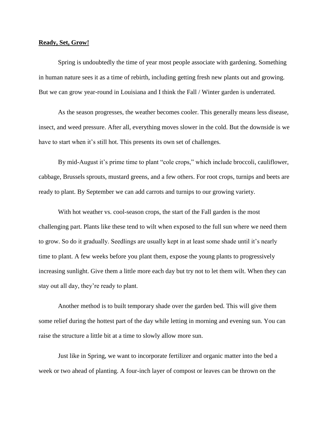## **Ready, Set, Grow!**

Spring is undoubtedly the time of year most people associate with gardening. Something in human nature sees it as a time of rebirth, including getting fresh new plants out and growing. But we can grow year-round in Louisiana and I think the Fall / Winter garden is underrated.

As the season progresses, the weather becomes cooler. This generally means less disease, insect, and weed pressure. After all, everything moves slower in the cold. But the downside is we have to start when it's still hot. This presents its own set of challenges.

By mid-August it's prime time to plant "cole crops," which include broccoli, cauliflower, cabbage, Brussels sprouts, mustard greens, and a few others. For root crops, turnips and beets are ready to plant. By September we can add carrots and turnips to our growing variety.

With hot weather vs. cool-season crops, the start of the Fall garden is the most challenging part. Plants like these tend to wilt when exposed to the full sun where we need them to grow. So do it gradually. Seedlings are usually kept in at least some shade until it's nearly time to plant. A few weeks before you plant them, expose the young plants to progressively increasing sunlight. Give them a little more each day but try not to let them wilt. When they can stay out all day, they're ready to plant.

Another method is to built temporary shade over the garden bed. This will give them some relief during the hottest part of the day while letting in morning and evening sun. You can raise the structure a little bit at a time to slowly allow more sun.

Just like in Spring, we want to incorporate fertilizer and organic matter into the bed a week or two ahead of planting. A four-inch layer of compost or leaves can be thrown on the